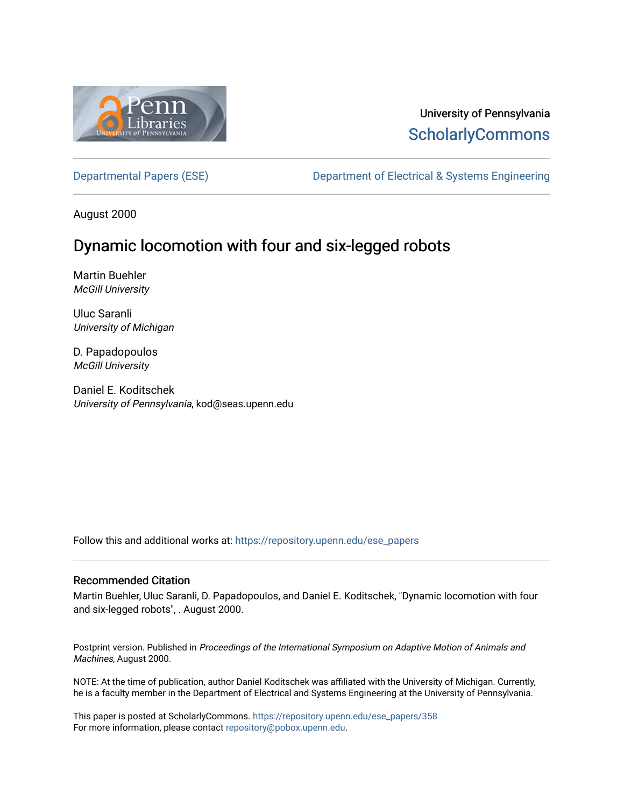

# University of Pennsylvania **ScholarlyCommons**

[Departmental Papers \(ESE\)](https://repository.upenn.edu/ese_papers) Department of Electrical & Systems Engineering

August 2000

# Dynamic locomotion with four and six-legged robots

Martin Buehler McGill University

Uluc Saranli University of Michigan

D. Papadopoulos McGill University

Daniel E. Koditschek University of Pennsylvania, kod@seas.upenn.edu

Follow this and additional works at: [https://repository.upenn.edu/ese\\_papers](https://repository.upenn.edu/ese_papers?utm_source=repository.upenn.edu%2Fese_papers%2F358&utm_medium=PDF&utm_campaign=PDFCoverPages)

#### Recommended Citation

Martin Buehler, Uluc Saranli, D. Papadopoulos, and Daniel E. Koditschek, "Dynamic locomotion with four and six-legged robots", . August 2000.

Postprint version. Published in Proceedings of the International Symposium on Adaptive Motion of Animals and Machines, August 2000.

NOTE: At the time of publication, author Daniel Koditschek was affiliated with the University of Michigan. Currently, he is a faculty member in the Department of Electrical and Systems Engineering at the University of Pennsylvania.

This paper is posted at ScholarlyCommons. [https://repository.upenn.edu/ese\\_papers/358](https://repository.upenn.edu/ese_papers/358) For more information, please contact [repository@pobox.upenn.edu.](mailto:repository@pobox.upenn.edu)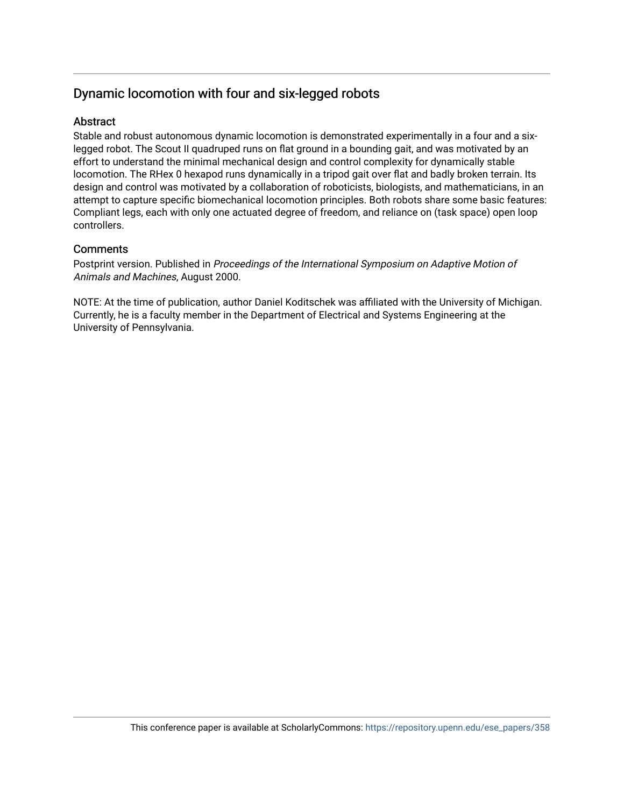## Dynamic locomotion with four and six-legged robots

### **Abstract**

Stable and robust autonomous dynamic locomotion is demonstrated experimentally in a four and a sixlegged robot. The Scout II quadruped runs on flat ground in a bounding gait, and was motivated by an effort to understand the minimal mechanical design and control complexity for dynamically stable locomotion. The RHex 0 hexapod runs dynamically in a tripod gait over flat and badly broken terrain. Its design and control was motivated by a collaboration of roboticists, biologists, and mathematicians, in an attempt to capture specific biomechanical locomotion principles. Both robots share some basic features: Compliant legs, each with only one actuated degree of freedom, and reliance on (task space) open loop controllers.

### **Comments**

Postprint version. Published in Proceedings of the International Symposium on Adaptive Motion of Animals and Machines, August 2000.

NOTE: At the time of publication, author Daniel Koditschek was affiliated with the University of Michigan. Currently, he is a faculty member in the Department of Electrical and Systems Engineering at the University of Pennsylvania.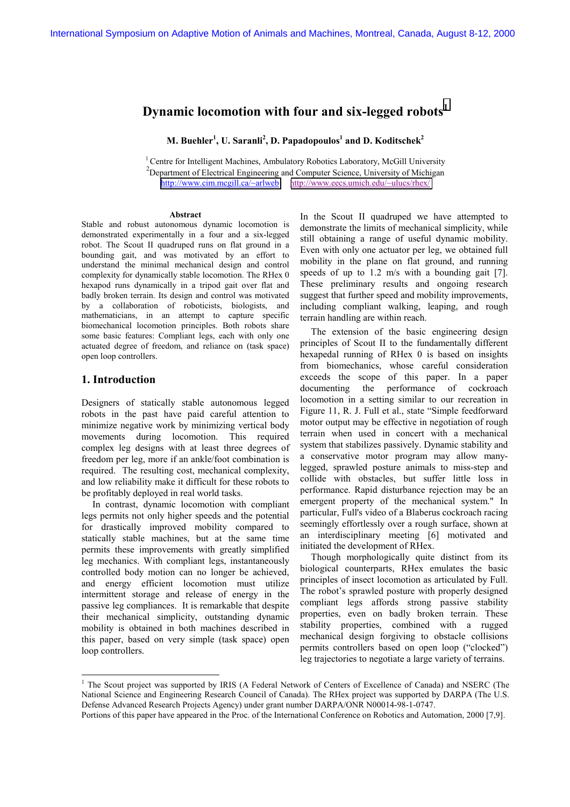### **Dynamic locomotion with four and six-legged robots<sup>1</sup>**

**M. Buehler<sup>1</sup>, U. Saranli<sup>2</sup>, D. Papadopoulos<sup>1</sup> and D. Koditschek<sup>2</sup>** 

<sup>1</sup> Centre for Intelligent Machines, Ambulatory Robotics Laboratory, McGill University  $2$ Department of Electrical Engineering and Computer Science, University of Michigan <http://www.cim.mcgill.ca/~arlweb><http://www.eecs.umich.edu/~ulucs/rhex/>

#### **Abstract**

Stable and robust autonomous dynamic locomotion is demonstrated experimentally in a four and a six-legged robot. The Scout II quadruped runs on flat ground in a bounding gait, and was motivated by an effort to understand the minimal mechanical design and control complexity for dynamically stable locomotion. The RHex 0 hexapod runs dynamically in a tripod gait over flat and badly broken terrain. Its design and control was motivated by a collaboration of roboticists, biologists, and mathematicians, in an attempt to capture specific biomechanical locomotion principles. Both robots share some basic features: Compliant legs, each with only one actuated degree of freedom, and reliance on (task space) open loop controllers.

#### **1. Introduction**

l

Designers of statically stable autonomous legged robots in the past have paid careful attention to minimize negative work by minimizing vertical body movements during locomotion. This required complex leg designs with at least three degrees of freedom per leg, more if an ankle/foot combination is required. The resulting cost, mechanical complexity, and low reliability make it difficult for these robots to be profitably deployed in real world tasks.

In contrast, dynamic locomotion with compliant legs permits not only higher speeds and the potential for drastically improved mobility compared to statically stable machines, but at the same time permits these improvements with greatly simplified leg mechanics. With compliant legs, instantaneously controlled body motion can no longer be achieved, and energy efficient locomotion must utilize intermittent storage and release of energy in the passive leg compliances. It is remarkable that despite their mechanical simplicity, outstanding dynamic mobility is obtained in both machines described in this paper, based on very simple (task space) open loop controllers.

In the Scout II quadruped we have attempted to demonstrate the limits of mechanical simplicity, while still obtaining a range of useful dynamic mobility. Even with only one actuator per leg, we obtained full mobility in the plane on flat ground, and running speeds of up to 1.2 m/s with a bounding gait [7]. These preliminary results and ongoing research suggest that further speed and mobility improvements, including compliant walking, leaping, and rough terrain handling are within reach.

The extension of the basic engineering design principles of Scout II to the fundamentally different hexapedal running of RHex 0 is based on insights from biomechanics, whose careful consideration exceeds the scope of this paper. In a paper documenting the performance of cockroach locomotion in a setting similar to our recreation in Figure 11, R. J. Full et al., state "Simple feedforward motor output may be effective in negotiation of rough terrain when used in concert with a mechanical system that stabilizes passively. Dynamic stability and a conservative motor program may allow manylegged, sprawled posture animals to miss-step and collide with obstacles, but suffer little loss in performance. Rapid disturbance rejection may be an emergent property of the mechanical system." In particular, Full's video of a Blaberus cockroach racing seemingly effortlessly over a rough surface, shown at an interdisciplinary meeting [6] motivated and initiated the development of RHex.

Though morphologically quite distinct from its biological counterparts, RHex emulates the basic principles of insect locomotion as articulated by Full. The robot's sprawled posture with properly designed compliant legs affords strong passive stability properties, even on badly broken terrain. These stability properties, combined with a rugged mechanical design forgiving to obstacle collisions permits controllers based on open loop ("clocked") leg trajectories to negotiate a large variety of terrains.

<sup>&</sup>lt;sup>1</sup> The Scout project was supported by IRIS (A Federal Network of Centers of Excellence of Canada) and NSERC (The National Science and Engineering Research Council of Canada). The RHex project was supported by DARPA (The U.S. Defense Advanced Research Projects Agency) under grant number DARPA/ONR N00014-98-1-0747.

Portions of this paper have appeared in the Proc. of the International Conference on Robotics and Automation, 2000 [7,9].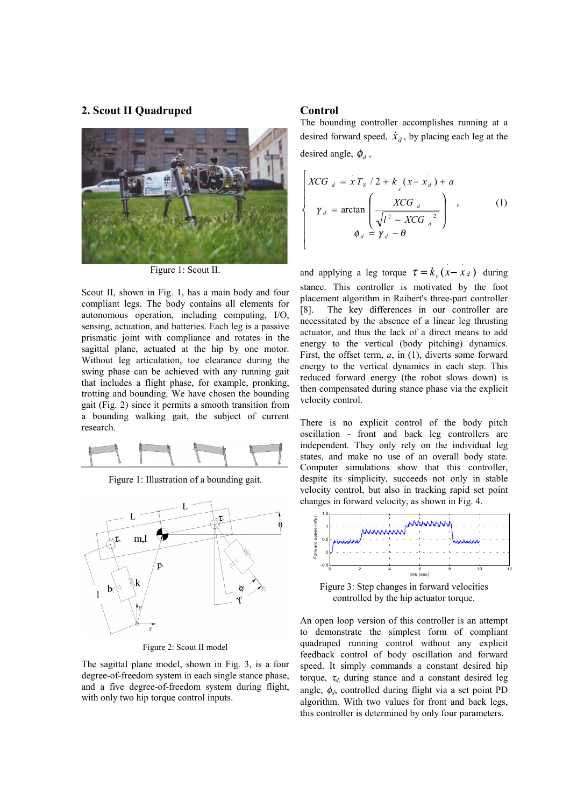#### **2. Scout II Quadruped**



Figure 1: Scout II.

Scout II, shown in Fig. 1, has a main body and four compliant legs. The body contains all elements for autonomous operation, including computing, I/O, sensing, actuation, and batteries. Each leg is a passive prismatic joint with compliance and rotates in the sagittal plane, actuated at the hip by one motor. Without leg articulation, toe clearance during the swing phase can be achieved with any running gait that includes a flight phase, for example, pronking, trotting and bounding. We have chosen the bounding gait (Fig. 2) since it permits a smooth transition from a bounding walking gait, the subject of current research.



Figure 1: Illustration of a bounding gait.



Figure 2: Scout II model

The sagittal plane model, shown in Fig. 3, is a four degree-of-freedom system in each single stance phase, and a five degree-of-freedom system during flight, with only two hip torque control inputs.

#### **Control**

The bounding controller accomplishes running at a desired forward speed,  $\dot{x}_d$ , by placing each leg at the desired angle,  $\phi_d$ ,

$$
\begin{cases}\nXCG_{d} = x T_{S} / 2 + k_{x}(x - x_{d}) + a \\
\gamma_{d} = \arctan\left(\frac{XCG_{d}}{\sqrt{l^{2} - XCG_{d}}^{2}}\right), \\
\phi_{d} = \gamma_{d} - \theta\n\end{cases}
$$
\n(1)

and applying a leg torque  $\tau = k_y (x - x_d)$  during stance. This controller is motivated by the foot placement algorithm in Raibert's three-part controller [8]. The key differences in our controller are necessitated by the absence of a linear leg thrusting actuator, and thus the lack of a direct means to add energy to the vertical (body pitching) dynamics. First, the offset term, *a*, in (1), diverts some forward energy to the vertical dynamics in each step. This reduced forward energy (the robot slows down) is then compensated during stance phase via the explicit velocity control.

There is no explicit control of the body pitch oscillation - front and back leg controllers are independent. They only rely on the individual leg states, and make no use of an overall body state. Computer simulations show that this controller, despite its simplicity, succeeds not only in stable velocity control, but also in tracking rapid set point changes in forward velocity, as shown in Fig. 4.



Figure 3: Step changes in forward velocities controlled by the hip actuator torque.

An open loop version of this controller is an attempt to demonstrate the simplest form of compliant quadruped running control without any explicit feedback control of body oscillation and forward speed. It simply commands a constant desired hip torque,  $\tau_d$  during stance and a constant desired leg angle, φ*d*, controlled during flight via a set point PD algorithm. With two values for front and back legs, this controller is determined by only four parameters.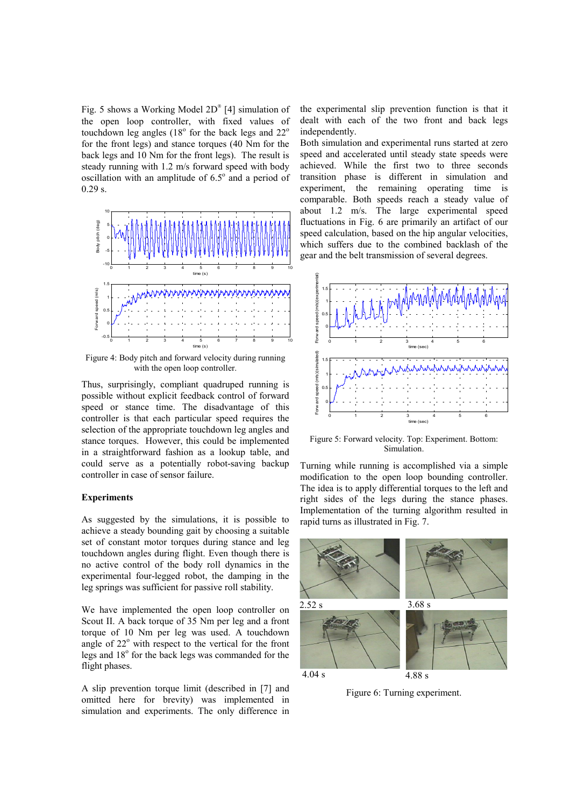Fig. 5 shows a Working Model 2D<sup>®</sup> [4] simulation of the open loop controller, with fixed values of touchdown leg angles  $(18^{\circ}$  for the back legs and  $22^{\circ}$ for the front legs) and stance torques (40 Nm for the back legs and 10 Nm for the front legs). The result is steady running with 1.2 m/s forward speed with body oscillation with an amplitude of  $6.5^\circ$  and a period of 0.29 s.



Figure 4: Body pitch and forward velocity during running with the open loop controller.

Thus, surprisingly, compliant quadruped running is possible without explicit feedback control of forward speed or stance time. The disadvantage of this controller is that each particular speed requires the selection of the appropriate touchdown leg angles and stance torques. However, this could be implemented in a straightforward fashion as a lookup table, and could serve as a potentially robot-saving backup controller in case of sensor failure.

#### **Experiments**

As suggested by the simulations, it is possible to achieve a steady bounding gait by choosing a suitable set of constant motor torques during stance and leg touchdown angles during flight. Even though there is no active control of the body roll dynamics in the experimental four-legged robot, the damping in the leg springs was sufficient for passive roll stability.

We have implemented the open loop controller on Scout II. A back torque of 35 Nm per leg and a front torque of 10 Nm per leg was used. A touchdown angle of 22° with respect to the vertical for the front legs and 18° for the back legs was commanded for the flight phases.

A slip prevention torque limit (described in [7] and omitted here for brevity) was implemented in simulation and experiments. The only difference in the experimental slip prevention function is that it dealt with each of the two front and back legs independently.

Both simulation and experimental runs started at zero speed and accelerated until steady state speeds were achieved. While the first two to three seconds transition phase is different in simulation and experiment, the remaining operating time is comparable. Both speeds reach a steady value of about 1.2 m/s. The large experimental speed fluctuations in Fig. 6 are primarily an artifact of our speed calculation, based on the hip angular velocities, which suffers due to the combined backlash of the gear and the belt transmission of several degrees.



Figure 5: Forward velocity. Top: Experiment. Bottom: Simulation.

Turning while running is accomplished via a simple modification to the open loop bounding controller. The idea is to apply differential torques to the left and right sides of the legs during the stance phases. Implementation of the turning algorithm resulted in rapid turns as illustrated in Fig. 7.



Figure 6: Turning experiment.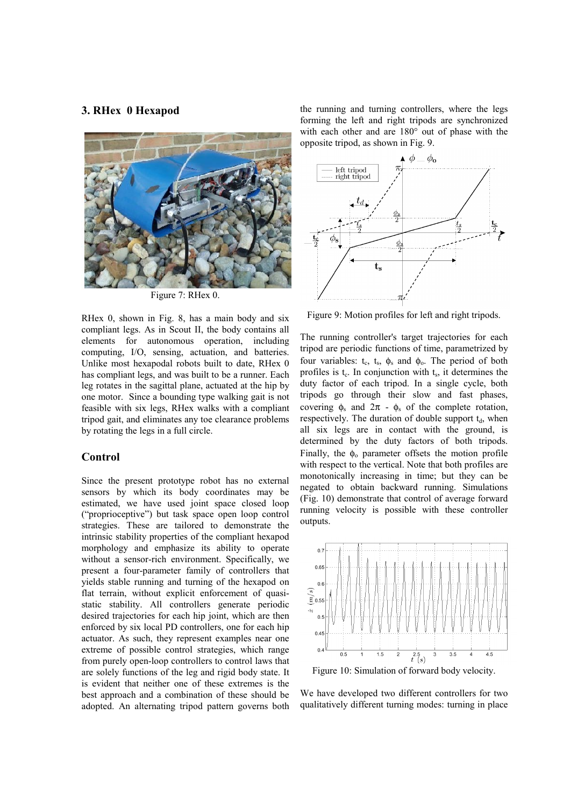#### **3. RHex 0 Hexapod**



Figure 7: RHex 0.

RHex 0, shown in Fig. 8, has a main body and six compliant legs. As in Scout II, the body contains all elements for autonomous operation, including computing, I/O, sensing, actuation, and batteries. Unlike most hexapodal robots built to date, RHex 0 has compliant legs, and was built to be a runner. Each leg rotates in the sagittal plane, actuated at the hip by one motor. Since a bounding type walking gait is not feasible with six legs, RHex walks with a compliant tripod gait, and eliminates any toe clearance problems by rotating the legs in a full circle.

#### **Control**

Since the present prototype robot has no external sensors by which its body coordinates may be estimated, we have used joint space closed loop ("proprioceptive") but task space open loop control strategies. These are tailored to demonstrate the intrinsic stability properties of the compliant hexapod morphology and emphasize its ability to operate without a sensor-rich environment. Specifically, we present a four-parameter family of controllers that yields stable running and turning of the hexapod on flat terrain, without explicit enforcement of quasistatic stability. All controllers generate periodic desired trajectories for each hip joint, which are then enforced by six local PD controllers, one for each hip actuator. As such, they represent examples near one extreme of possible control strategies, which range from purely open-loop controllers to control laws that are solely functions of the leg and rigid body state. It is evident that neither one of these extremes is the best approach and a combination of these should be adopted. An alternating tripod pattern governs both

the running and turning controllers, where the legs forming the left and right tripods are synchronized with each other and are 180° out of phase with the opposite tripod, as shown in Fig. 9.



Figure 9: Motion profiles for left and right tripods.

The running controller's target trajectories for each tripod are periodic functions of time, parametrized by four variables:  $t_c$ ,  $t_s$ ,  $\phi_s$  and  $\phi_o$ . The period of both profiles is  $t_c$ . In conjunction with  $t_s$ , it determines the duty factor of each tripod. In a single cycle, both tripods go through their slow and fast phases, covering  $\phi_s$  and  $2\pi - \phi_s$  of the complete rotation, respectively. The duration of double support  $t_d$ , when all six legs are in contact with the ground, is determined by the duty factors of both tripods. Finally, the  $\phi_0$  parameter offsets the motion profile with respect to the vertical. Note that both profiles are monotonically increasing in time; but they can be negated to obtain backward running. Simulations (Fig. 10) demonstrate that control of average forward running velocity is possible with these controller outputs.



We have developed two different controllers for two qualitatively different turning modes: turning in place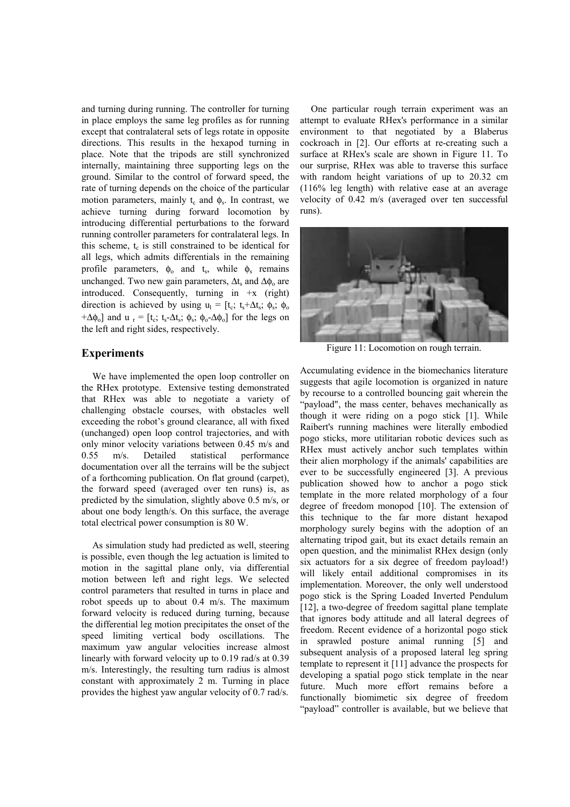and turning during running. The controller for turning in place employs the same leg profiles as for running except that contralateral sets of legs rotate in opposite directions. This results in the hexapod turning in place. Note that the tripods are still synchronized internally, maintaining three supporting legs on the ground. Similar to the control of forward speed, the rate of turning depends on the choice of the particular motion parameters, mainly  $t_c$  and  $\phi_s$ . In contrast, we achieve turning during forward locomotion by introducing differential perturbations to the forward running controller parameters for contralateral legs. In this scheme,  $t_c$  is still constrained to be identical for all legs, which admits differentials in the remaining profile parameters,  $\phi_0$  and t<sub>s</sub>, while  $\phi_0$  remains unchanged. Two new gain parameters,  $\Delta t_s$  and  $\Delta \phi_0$  are introduced. Consequently, turning in  $+x$  (right) direction is achieved by using  $u_1 = [t_c; t_s + \Delta t_s; \phi_s; \phi_0]$  $+\Delta\phi_0$ ] and u<sub>r</sub> = [t<sub>c</sub>; t<sub>s</sub>- $\Delta t$ <sub>s</sub>;  $\phi_s$ ;  $\phi_0$ - $\Delta\phi_0$ ] for the legs on the left and right sides, respectively.

#### **Experiments**

We have implemented the open loop controller on the RHex prototype. Extensive testing demonstrated that RHex was able to negotiate a variety of challenging obstacle courses, with obstacles well exceeding the robot's ground clearance, all with fixed (unchanged) open loop control trajectories, and with only minor velocity variations between 0.45 m/s and 0.55 m/s. Detailed statistical performance documentation over all the terrains will be the subject of a forthcoming publication. On flat ground (carpet), the forward speed (averaged over ten runs) is, as predicted by the simulation, slightly above 0.5 m/s, or about one body length/s. On this surface, the average total electrical power consumption is 80 W.

As simulation study had predicted as well, steering is possible, even though the leg actuation is limited to motion in the sagittal plane only, via differential motion between left and right legs. We selected control parameters that resulted in turns in place and robot speeds up to about 0.4 m/s. The maximum forward velocity is reduced during turning, because the differential leg motion precipitates the onset of the speed limiting vertical body oscillations. The maximum yaw angular velocities increase almost linearly with forward velocity up to 0.19 rad/s at 0.39 m/s. Interestingly, the resulting turn radius is almost constant with approximately 2 m. Turning in place provides the highest yaw angular velocity of 0.7 rad/s.

One particular rough terrain experiment was an attempt to evaluate RHex's performance in a similar environment to that negotiated by a Blaberus cockroach in [2]. Our efforts at re-creating such a surface at RHex's scale are shown in Figure 11. To our surprise, RHex was able to traverse this surface with random height variations of up to 20.32 cm (116% leg length) with relative ease at an average velocity of 0.42 m/s (averaged over ten successful runs).



Figure 11: Locomotion on rough terrain.

Accumulating evidence in the biomechanics literature suggests that agile locomotion is organized in nature by recourse to a controlled bouncing gait wherein the "payload", the mass center, behaves mechanically as though it were riding on a pogo stick [1]. While Raibert's running machines were literally embodied pogo sticks, more utilitarian robotic devices such as RHex must actively anchor such templates within their alien morphology if the animals' capabilities are ever to be successfully engineered [3]. A previous publication showed how to anchor a pogo stick template in the more related morphology of a four degree of freedom monopod [10]. The extension of this technique to the far more distant hexapod morphology surely begins with the adoption of an alternating tripod gait, but its exact details remain an open question, and the minimalist RHex design (only six actuators for a six degree of freedom payload!) will likely entail additional compromises in its implementation. Moreover, the only well understood pogo stick is the Spring Loaded Inverted Pendulum [12], a two-degree of freedom sagittal plane template that ignores body attitude and all lateral degrees of freedom. Recent evidence of a horizontal pogo stick in sprawled posture animal running [5] and subsequent analysis of a proposed lateral leg spring template to represent it [11] advance the prospects for developing a spatial pogo stick template in the near future. Much more effort remains before a functionally biomimetic six degree of freedom "payload" controller is available, but we believe that